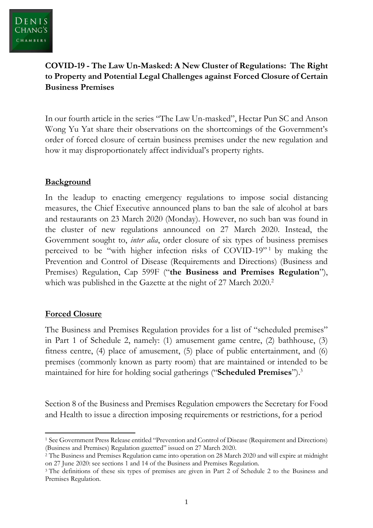## **COVID-19 - The Law Un-Masked: A New Cluster of Regulations: The Right to Property and Potential Legal Challenges against Forced Closure of Certain Business Premises**

In our fourth article in the series "The Law Un-masked", Hectar Pun SC and Anson Wong Yu Yat share their observations on the shortcomings of the Government's order of forced closure of certain business premises under the new regulation and how it may disproportionately affect individual's property rights.

### **Background**

In the leadup to enacting emergency regulations to impose social distancing measures, the Chief Executive announced plans to ban the sale of alcohol at bars and restaurants on 23 March 2020 (Monday). However, no such ban was found in the cluster of new regulations announced on 27 March 2020. Instead, the Government sought to, *inter alia*, order closure of six types of business premises perceived to be "with higher infection risks of COVID-19" <sup>1</sup> by making the Prevention and Control of Disease (Requirements and Directions) (Business and Premises) Regulation, Cap 599F ("**the Business and Premises Regulation**"), which was published in the Gazette at the night of 27 March 2020.<sup>2</sup>

#### **Forced Closure**

The Business and Premises Regulation provides for a list of "scheduled premises" in Part 1 of Schedule 2, namely: (1) amusement game centre, (2) bathhouse, (3) fitness centre, (4) place of amusement, (5) place of public entertainment, and (6) premises (commonly known as party room) that are maintained or intended to be maintained for hire for holding social gatherings ("**Scheduled Premises**"). 3

Section 8 of the Business and Premises Regulation empowers the Secretary for Food and Health to issue a direction imposing requirements or restrictions, for a period

<sup>1</sup> See Government Press Release entitled "Prevention and Control of Disease (Requirement and Directions) (Business and Premises) Regulation gazetted" issued on 27 March 2020.

<sup>2</sup> The Business and Premises Regulation came into operation on 28 March 2020 and will expire at midnight on 27 June 2020: see sections 1 and 14 of the Business and Premises Regulation.

<sup>&</sup>lt;sup>3</sup> The definitions of these six types of premises are given in Part 2 of Schedule 2 to the Business and Premises Regulation.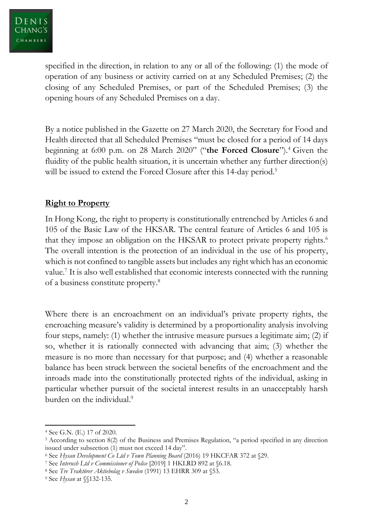specified in the direction, in relation to any or all of the following: (1) the mode of operation of any business or activity carried on at any Scheduled Premises; (2) the closing of any Scheduled Premises, or part of the Scheduled Premises; (3) the opening hours of any Scheduled Premises on a day.

By a notice published in the Gazette on 27 March 2020, the Secretary for Food and Health directed that all Scheduled Premises "must be closed for a period of 14 days beginning at 6:00 p.m. on 28 March 2020" ("**the Forced Closure**"). <sup>4</sup> Given the fluidity of the public health situation, it is uncertain whether any further direction(s) will be issued to extend the Forced Closure after this 14-day period.<sup>5</sup>

### **Right to Property**

In Hong Kong, the right to property is constitutionally entrenched by Articles 6 and 105 of the Basic Law of the HKSAR. The central feature of Articles 6 and 105 is that they impose an obligation on the HKSAR to protect private property rights. 6 The overall intention is the protection of an individual in the use of his property, which is not confined to tangible assets but includes any right which has an economic value.<sup>7</sup> It is also well established that economic interests connected with the running of a business constitute property. 8

Where there is an encroachment on an individual's private property rights, the encroaching measure's validity is determined by a proportionality analysis involving four steps, namely: (1) whether the intrusive measure pursues a legitimate aim; (2) if so, whether it is rationally connected with advancing that aim; (3) whether the measure is no more than necessary for that purpose; and (4) whether a reasonable balance has been struck between the societal benefits of the encroachment and the inroads made into the constitutionally protected rights of the individual, asking in particular whether pursuit of the societal interest results in an unacceptably harsh burden on the individual.<sup>9</sup>

<sup>4</sup> See G.N. (E.) 17 of 2020.

<sup>5</sup> According to section 8(2) of the Business and Premises Regulation, "a period specified in any direction issued under subsection (1) must not exceed 14 day".

<sup>6</sup> See *Hysan Development Co Ltd v Town Planning Board* (2016) 19 HKCFAR 372 at §29.

<sup>7</sup> See *Interush Ltd v Commissioner of Police* [2019] 1 HKLRD 892 at §6.18.

<sup>8</sup> See *Tre Traktörer Aktiebolag v Sweden* (1991) 13 EHRR 309 at §53.

<sup>9</sup> See *Hysan* at §§132-135.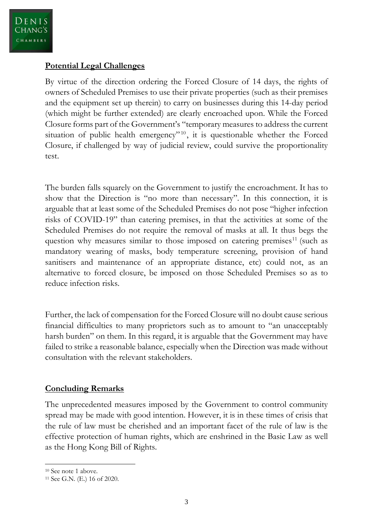#### **Potential Legal Challenges**

By virtue of the direction ordering the Forced Closure of 14 days, the rights of owners of Scheduled Premises to use their private properties (such as their premises and the equipment set up therein) to carry on businesses during this 14-day period (which might be further extended) are clearly encroached upon. While the Forced Closure forms part of the Government's "temporary measures to address the current situation of public health emergency"<sup>10</sup>, it is questionable whether the Forced Closure, if challenged by way of judicial review, could survive the proportionality test.

The burden falls squarely on the Government to justify the encroachment. It has to show that the Direction is "no more than necessary". In this connection, it is arguable that at least some of the Scheduled Premises do not pose "higher infection risks of COVID-19" than catering premises, in that the activities at some of the Scheduled Premises do not require the removal of masks at all. It thus begs the question why measures similar to those imposed on catering premises $11$  (such as mandatory wearing of masks, body temperature screening, provision of hand sanitisers and maintenance of an appropriate distance, etc) could not, as an alternative to forced closure, be imposed on those Scheduled Premises so as to reduce infection risks.

Further, the lack of compensation for the Forced Closure will no doubt cause serious financial difficulties to many proprietors such as to amount to "an unacceptably harsh burden" on them. In this regard, it is arguable that the Government may have failed to strike a reasonable balance, especially when the Direction was made without consultation with the relevant stakeholders.

# **Concluding Remarks**

The unprecedented measures imposed by the Government to control community spread may be made with good intention. However, it is in these times of crisis that the rule of law must be cherished and an important facet of the rule of law is the effective protection of human rights, which are enshrined in the Basic Law as well as the Hong Kong Bill of Rights.

<sup>&</sup>lt;sup>10</sup> See note 1 above.

<sup>11</sup> See G.N. (E.) 16 of 2020.